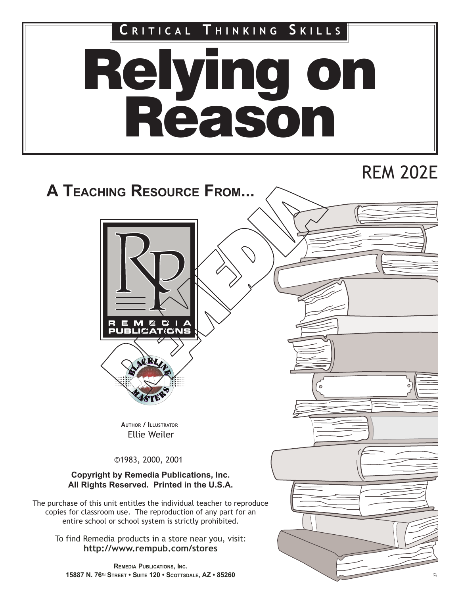Relying on Reason CRITICAL THINKING SKILLS

# REM 202E

# A TEACHING RESOURCE FROM...





AUTHOR / ILLUSTRATOR Ellie Weiler

©1983, 2000, 2001

#### Copyright by Remedia Publications, Inc. All Rights Reserved. Printed in the U.S.A.

The purchase of this unit entitles the individual teacher to reproduce copies for classroom use. The reproduction of any part for an entire school or school system is strictly prohibited.

To find Remedia products in a store near you, visit: http://www.rempub.com/stores

REMEDIA PUBLICATIONS, INC. 15887 N. 76TH STREET • SUITE 120 • SCOTTSDALE, AZ • 85260

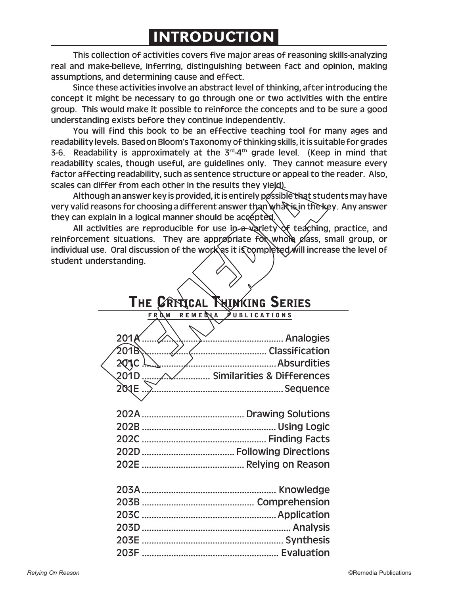## INTRODUCTION

This collection of activities covers five major areas of reasoning skills-analyzing real and make-believe, inferring, distinguishing between fact and opinion, making assumptions, and determining cause and effect.

Since these activities involve an abstract level of thinking, after introducing the concept it might be necessary to go through one or two activities with the entire group. This would make it possible to reinforce the concepts and to be sure a good understanding exists before they continue independently.

You will find this book to be an effective teaching tool for many ages and readability levels. Based on Bloom's Taxonomy of thinking skills, it is suitable for grades 3-6. Readability is approximately at the  $3^{rd}$ -4<sup>th</sup> grade level. (Keep in mind that readability scales, though useful, are guidelines only. They cannot measure every factor affecting readability, such as sentence structure or appeal to the reader. Also, scales can differ from each other in the results they yield).

Although an answer key is provided, it is entirely possible that students may have very valid reasons for choosing a different answer than what is in the key. Any answer they can explain in a logical manner should be accepted.

All activities are reproducible for use in a variety of teaching, practice, and reinforcement situations. They are appropriate for whole class, small group, or individual use. Oral discussion of the work as it is completed will increase the level of student understanding.

## **THE CRITICAL THINKING SERIES**

#### **FROM REMEDIA PUBLICATIONS**

| 201D  Similarities & Differences |
|----------------------------------|
|                                  |
|                                  |
|                                  |
|                                  |
|                                  |
|                                  |
|                                  |
|                                  |
|                                  |
|                                  |
|                                  |
|                                  |
|                                  |
|                                  |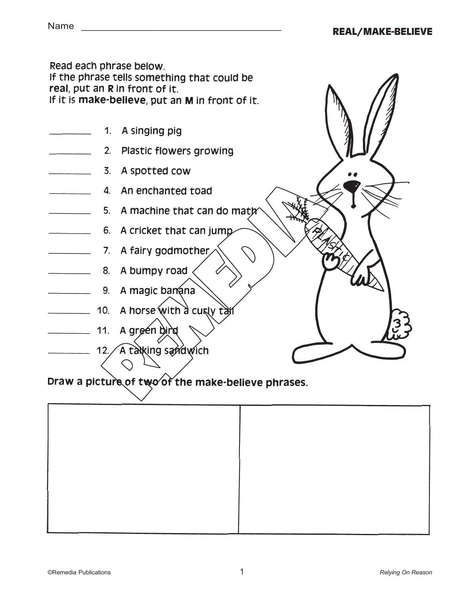Read each phrase below. If the phrase tells something that could be real, put an R in front of it. If it is make-believe, put an M in front of it.

- 1. A singing pig
- 2. Plastic flowers growing
- 3. A spotted cow
- 4. An enchanted toad
- $\overline{\phantom{a}}$ 5. A machine that can do math
- 6. A cricket that can jump
- 
- $\overline{\phantom{a}}$ 8. A bumpy road
- 9. A magic banana
- 10. A horse with a curly tail
- 11. A green bird
- 12. A talking sandwich



## Draw a picture of two of the make-believe phrases.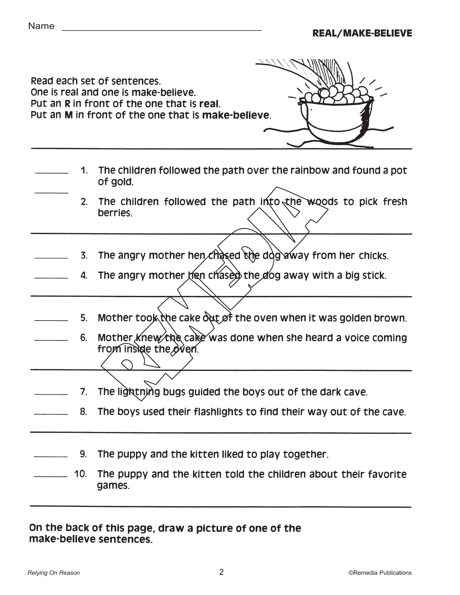|                | Read each set of sentences.<br>One is real and one is make-believe.<br>Put an R in front of the one that is real.<br>Put an M in front of the one that is make-believe. |
|----------------|-------------------------------------------------------------------------------------------------------------------------------------------------------------------------|
|                | 1. The children followed the path over the rainbow and found a pot<br>of gold.                                                                                          |
| 2.             | The children followed the path into the woods to pick fresh<br>berries.                                                                                                 |
| $\mathbf{3}$ . | The angry mother hen chased the dog away from her chicks.                                                                                                               |
| 4.             | The angry mother hen chased the dog away with a big stick.                                                                                                              |
| 5.             | Mother took the cake out of the oven when it was golden brown.                                                                                                          |
| 6.             | Mother knew the cake was done when she heard a voice coming<br>from inside the oven.                                                                                    |
| 7.             | The lightning bugs guided the boys out of the dark cave.                                                                                                                |
|                | 8. The boys used their flashlights to find their way out of the cave.                                                                                                   |
| 9.             | The puppy and the kitten liked to play together.                                                                                                                        |
| 10.            | The puppy and the kitten told the children about their favorite<br>games.                                                                                               |

On the back of this page, draw a picture of one of the make-believe sentences.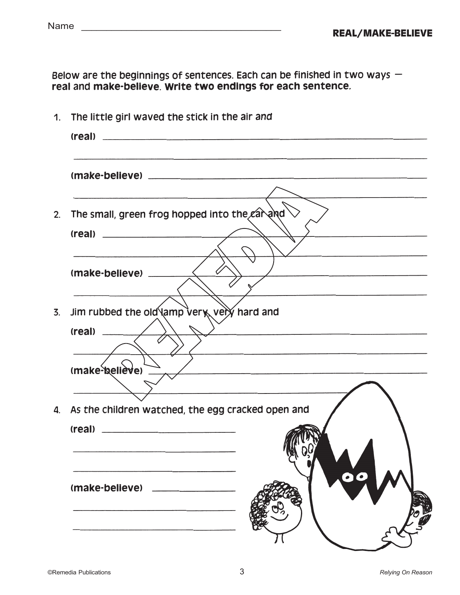Below are the beginnings of sentences. Each can be finished in two ways - real and make-believe. Write two endings for each sentence.

| 1.               | The little girl waved the stick in the air and                                                                                                                             |  |  |
|------------------|----------------------------------------------------------------------------------------------------------------------------------------------------------------------------|--|--|
|                  |                                                                                                                                                                            |  |  |
| 2.               | The small, green frog hopped into the car and<br>(real)                                                                                                                    |  |  |
|                  |                                                                                                                                                                            |  |  |
| $\overline{3}$ . | Jim rubbed the old lamp very, very hard and                                                                                                                                |  |  |
|                  |                                                                                                                                                                            |  |  |
| 4.               | <u> 1989 - Jacques Barbara, amerikan bahasa personal di sebagai personal di sebagai personal di sebagai personal </u><br>As the children watched, the egg cracked open and |  |  |
|                  | $\bullet$<br>(make-believe)                                                                                                                                                |  |  |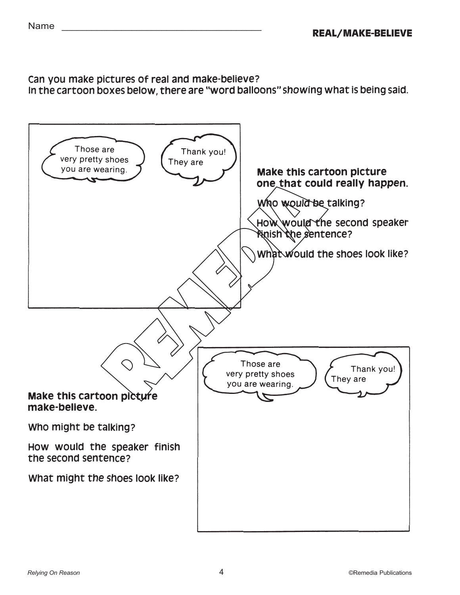## Can you make pictures of real and make-believe?

In the cartoon boxes below, there are "word balloons" showing what is being said.



## Make this cartoon picture one that could really happen.

Who would be talking?

How would the second speaker finish the sentence?

What would the shoes look like?

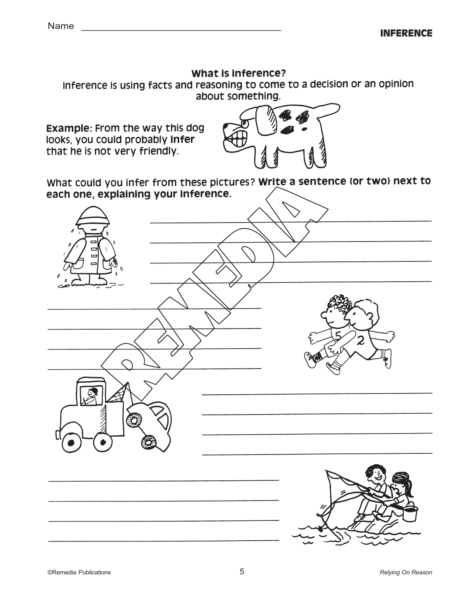### What is inference?

Inference is using facts and reasoning to come to a decision or an opinion about something.

**Example: From the way this dog** looks, you could probably infer that he is not very friendly.



What could you infer from these pictures? Write a sentence (or two) next to each one, explaining your inference.